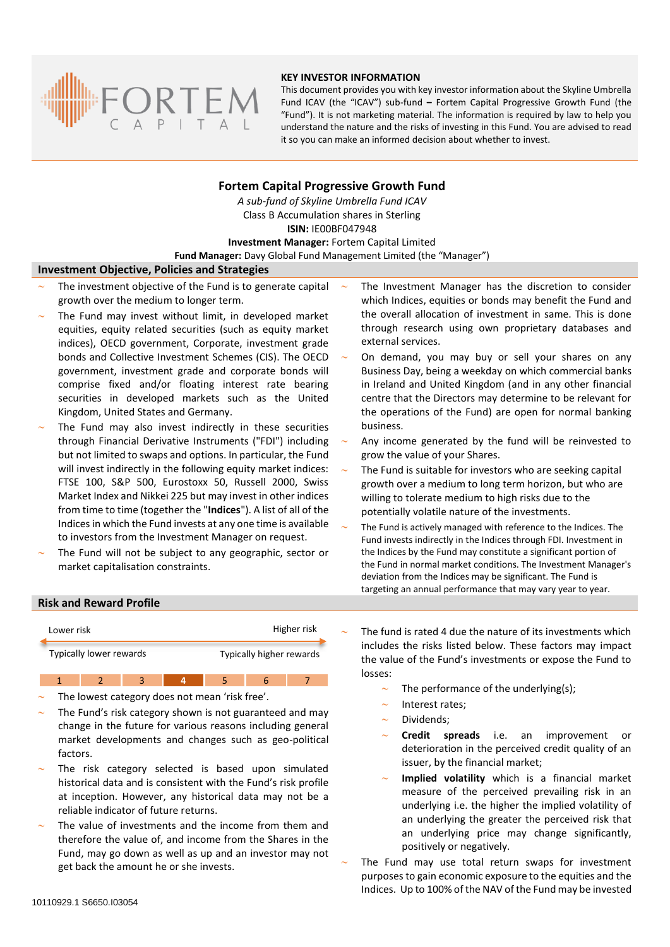

### **KEY INVESTOR INFORMATION**

This document provides you with key investor information about the Skyline Umbrella Fund ICAV (the "ICAV") sub-fund **–** Fortem Capital Progressive Growth Fund (the "Fund"). It is not marketing material. The information is required by law to help you understand the nature and the risks of investing in this Fund. You are advised to read it so you can make an informed decision about whether to invest.

# **Fortem Capital Progressive Growth Fund**

*A sub-fund of Skyline Umbrella Fund ICAV* Class B Accumulation shares in Sterling **ISIN:** IE00BF047948 **Investment Manager:** Fortem Capital Limited

**Fund Manager:** Davy Global Fund Management Limited (the "Manager")

### **Investment Objective, Policies and Strategies**

- The investment objective of the Fund is to generate capital growth over the medium to longer term.
- The Fund may invest without limit, in developed market equities, equity related securities (such as equity market indices), OECD government, Corporate, investment grade bonds and Collective Investment Schemes (CIS). The OECD government, investment grade and corporate bonds will comprise fixed and/or floating interest rate bearing securities in developed markets such as the United Kingdom, United States and Germany.
- The Fund may also invest indirectly in these securities through Financial Derivative Instruments ("FDI") including but not limited to swaps and options. In particular, the Fund will invest indirectly in the following equity market indices: FTSE 100, S&P 500, Eurostoxx 50, Russell 2000, Swiss Market Index and Nikkei 225 but may invest in other indices from time to time (together the "**Indices**"). A list of all of the Indices in which the Fund invests at any one time is available to investors from the Investment Manager on request.
- The Fund will not be subject to any geographic, sector or market capitalisation constraints.
- The Investment Manager has the discretion to consider which Indices, equities or bonds may benefit the Fund and the overall allocation of investment in same. This is done through research using own proprietary databases and external services.
- On demand, you may buy or sell your shares on any Business Day, being a weekday on which commercial banks in Ireland and United Kingdom (and in any other financial centre that the Directors may determine to be relevant for the operations of the Fund) are open for normal banking business.
- Any income generated by the fund will be reinvested to grow the value of your Shares.
- The Fund is suitable for investors who are seeking capital growth over a medium to long term horizon, but who are willing to tolerate medium to high risks due to the potentially volatile nature of the investments.
- The Fund is actively managed with reference to the Indices. The Fund invests indirectly in the Indices through FDI. Investment in the Indices by the Fund may constitute a significant portion of the Fund in normal market conditions. The Investment Manager's deviation from the Indices may be significant. The Fund is targeting an annual performance that may vary year to year.

### **Risk and Reward Profile**



1 2 3 4 5 6 7 The lowest category does not mean 'risk free'.

- The Fund's risk category shown is not guaranteed and may change in the future for various reasons including general market developments and changes such as geo-political factors.
- The risk category selected is based upon simulated historical data and is consistent with the Fund's risk profile at inception. However, any historical data may not be a reliable indicator of future returns.
- The value of investments and the income from them and therefore the value of, and income from the Shares in the Fund, may go down as well as up and an investor may not get back the amount he or she invests.

 The fund is rated 4 due the nature of its investments which includes the risks listed below. These factors may impact the value of the Fund's investments or expose the Fund to losses:

- The performance of the underlying(s);
- Interest rates;
- Dividends;
- **Credit spreads** i.e. an improvement or deterioration in the perceived credit quality of an issuer, by the financial market;
- **Implied volatility** which is a financial market measure of the perceived prevailing risk in an underlying i.e. the higher the implied volatility of an underlying the greater the perceived risk that an underlying price may change significantly, positively or negatively.
- The Fund may use total return swaps for investment purposes to gain economic exposure to the equities and the Indices. Up to 100% of the NAV of the Fund may be invested